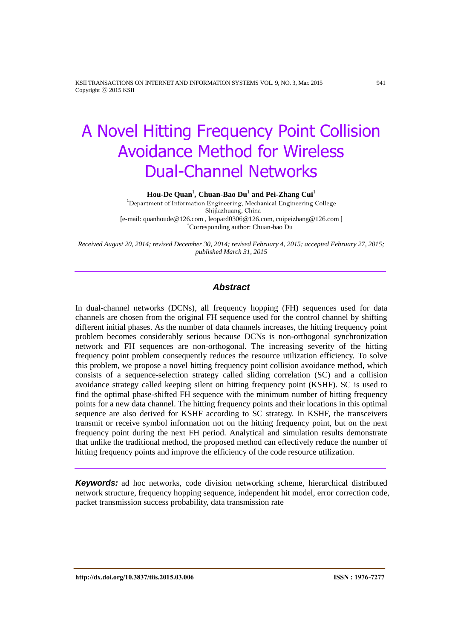$\text{Hou-De Quan}^1$ , Chuan-Bao Du<sup>1</sup> and Pei-Zhang Cui<sup>1</sup>

<sup>1</sup>Department of Information Engineering, Mechanical Engineering College Shijiazhuang, China [e-mail: quanhoude@126.com , leopard0306@126.com, cuipeizhang@126.com ] \*Corresponding author: Chuan-bao Du

*Received August 20, 2014; revised December 30, 2014; revised February 4, 2015; accepted February 27, 2015; published March 31, 2015*

# *Abstract*

In dual-channel networks (DCNs), all frequency hopping (FH) sequences used for data channels are chosen from the original FH sequence used for the control channel by shifting different initial phases. As the number of data channels increases, the hitting frequency point problem becomes considerably serious because DCNs is non-orthogonal synchronization network and FH sequences are non-orthogonal. The increasing severity of the hitting frequency point problem consequently reduces the resource utilization efficiency. To solve this problem, we propose a novel hitting frequency point collision avoidance method, which consists of a sequence-selection strategy called sliding correlation (SC) and a collision avoidance strategy called keeping silent on hitting frequency point (KSHF). SC is used to find the optimal phase-shifted FH sequence with the minimum number of hitting frequency points for a new data channel. The hitting frequency points and their locations in this optimal sequence are also derived for KSHF according to SC strategy. In KSHF, the transceivers transmit or receive symbol information not on the hitting frequency point, but on the next frequency point during the next FH period. Analytical and simulation results demonstrate that unlike the traditional method, the proposed method can effectively reduce the number of hitting frequency points and improve the efficiency of the code resource utilization.

*Keywords:* ad hoc networks, code division networking scheme, hierarchical distributed network structure, frequency hopping sequence, independent hit model, error correction code, packet transmission success probability, data transmission rate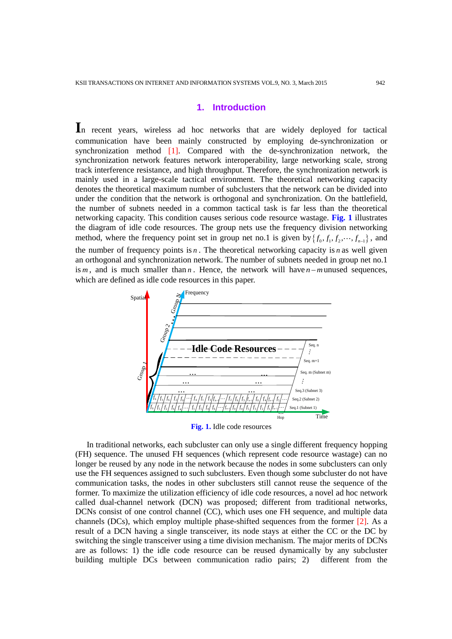# **1. Introduction**

In recent years, wireless ad hoc networks that are widely deployed for tactical communication have been mainly constructed by employing de-synchronization or synchronization method [1]. Compared with the de-synchronization network, the synchronization network features network interoperability, large networking scale, strong track interference resistance, and high throughput. Therefore, the synchronization network is mainly used in a large-scale tactical environment. The theoretical networking capacity denotes the theoretical maximum number of subclusters that the network can be divided into under the condition that the network is orthogonal and synchronization. On the battlefield, the number of subnets needed in a common tactical task is far less than the theoretical networking capacity. This condition causes serious code resource wastage. **Fig. 1** illustrates the diagram of idle code resources. The group nets use the frequency division networking method, where the frequency point set in group net no.1 is given by  $\{f_0, f_1, f_2, \dots, f_{n-1}\}$ , and the number of frequency points is  $n$ . The theoretical networking capacity is  $n$  as well given an orthogonal and synchronization network. The number of subnets needed in group net no.1 is  $m$ , and is much smaller than  $n$ . Hence, the network will have  $n-m$  unused sequences, which are defined as idle code resources in this paper.



In traditional networks, each subcluster can only use a single different frequency hopping (FH) sequence. The unused FH sequences (which represent code resource wastage) can no longer be reused by any node in the network because the nodes in some subclusters can only use the FH sequences assigned to such subclusters. Even though some subcluster do not have communication tasks, the nodes in other subclusters still cannot reuse the sequence of the former. To maximize the utilization efficiency of idle code resources, a novel ad hoc network called dual-channel network (DCN) was proposed; different from traditional networks, DCNs consist of one control channel (CC), which uses one FH sequence, and multiple data channels (DCs), which employ multiple phase-shifted sequences from the former [2]. As a result of a DCN having a single transceiver, its node stays at either the CC or the DC by switching the single transceiver using a time division mechanism. The major merits of DCNs are as follows: 1) the idle code resource can be reused dynamically by any subcluster building multiple DCs between communication radio pairs; 2) different from the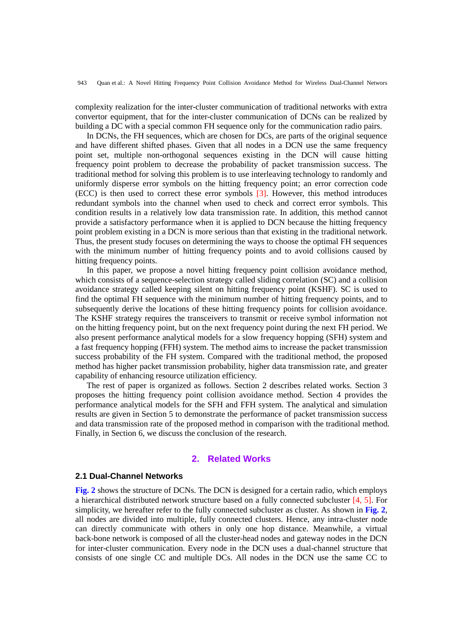complexity realization for the inter-cluster communication of traditional networks with extra convertor equipment, that for the inter-cluster communication of DCNs can be realized by building a DC with a special common FH sequence only for the communication radio pairs.

In DCNs, the FH sequences, which are chosen for DCs, are parts of the original sequence and have different shifted phases. Given that all nodes in a DCN use the same frequency point set, multiple non-orthogonal sequences existing in the DCN will cause hitting frequency point problem to decrease the probability of packet transmission success. The traditional method for solving this problem is to use interleaving technology to randomly and uniformly disperse error symbols on the hitting frequency point; an error correction code (ECC) is then used to correct these error symbols [3]. However, this method introduces redundant symbols into the channel when used to check and correct error symbols. This condition results in a relatively low data transmission rate. In addition, this method cannot provide a satisfactory performance when it is applied to DCN because the hitting frequency point problem existing in a DCN is more serious than that existing in the traditional network. Thus, the present study focuses on determining the ways to choose the optimal FH sequences with the minimum number of hitting frequency points and to avoid collisions caused by hitting frequency points.

In this paper, we propose a novel hitting frequency point collision avoidance method, which consists of a sequence-selection strategy called sliding correlation (SC) and a collision avoidance strategy called keeping silent on hitting frequency point (KSHF). SC is used to find the optimal FH sequence with the minimum number of hitting frequency points, and to subsequently derive the locations of these hitting frequency points for collision avoidance. The KSHF strategy requires the transceivers to transmit or receive symbol information not on the hitting frequency point, but on the next frequency point during the next FH period. We also present performance analytical models for a slow frequency hopping (SFH) system and a fast frequency hopping (FFH) system. The method aims to increase the packet transmission success probability of the FH system. Compared with the traditional method, the proposed method has higher packet transmission probability, higher data transmission rate, and greater capability of enhancing resource utilization efficiency.

The rest of paper is organized as follows. Section 2 describes related works. Section 3 proposes the hitting frequency point collision avoidance method. Section 4 provides the performance analytical models for the SFH and FFH system. The analytical and simulation results are given in Section 5 to demonstrate the performance of packet transmission success and data transmission rate of the proposed method in comparison with the traditional method. Finally, in Section 6, we discuss the conclusion of the research.

# **2. Related Works**

#### **2.1 Dual-Channel Networks**

**Fig. 2** shows the structure of DCNs. The DCN is designed for a certain radio, which employs a hierarchical distributed network structure based on a fully connected subcluster [4, 5]. For simplicity, we hereafter refer to the fully connected subcluster as cluster. As shown in **Fig. 2**, all nodes are divided into multiple, fully connected clusters. Hence, any intra-cluster node can directly communicate with others in only one hop distance. Meanwhile, a virtual back-bone network is composed of all the cluster-head nodes and gateway nodes in the DCN for inter-cluster communication. Every node in the DCN uses a dual-channel structure that consists of one single CC and multiple DCs. All nodes in the DCN use the same CC to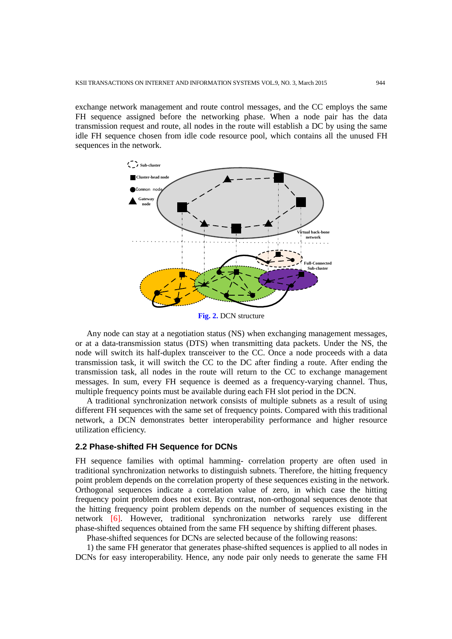exchange network management and route control messages, and the CC employs the same FH sequence assigned before the networking phase. When a node pair has the data transmission request and route, all nodes in the route will establish a DC by using the same idle FH sequence chosen from idle code resource pool, which contains all the unused FH sequences in the network.



**Fig. 2.** DCN structure

Any node can stay at a negotiation status (NS) when exchanging management messages, or at a data-transmission status (DTS) when transmitting data packets. Under the NS, the node will switch its half-duplex transceiver to the CC. Once a node proceeds with a data transmission task, it will switch the CC to the DC after finding a route. After ending the transmission task, all nodes in the route will return to the CC to exchange management messages. In sum, every FH sequence is deemed as a frequency-varying channel. Thus, multiple frequency points must be available during each FH slot period in the DCN.

A traditional synchronization network consists of multiple subnets as a result of using different FH sequences with the same set of frequency points. Compared with this traditional network, a DCN demonstrates better interoperability performance and higher resource utilization efficiency.

#### **2.2 Phase-shifted FH Sequence for DCNs**

FH sequence families with optimal hamming- correlation property are often used in traditional synchronization networks to distinguish subnets. Therefore, the hitting frequency point problem depends on the correlation property of these sequences existing in the network. Orthogonal sequences indicate a correlation value of zero, in which case the hitting frequency point problem does not exist. By contrast, non-orthogonal sequences denote that the hitting frequency point problem depends on the number of sequences existing in the network [6]. However, traditional synchronization networks rarely use different phase-shifted sequences obtained from the same FH sequence by shifting different phases.

Phase-shifted sequences for DCNs are selected because of the following reasons:

1) the same FH generator that generates phase-shifted sequences is applied to all nodes in DCNs for easy interoperability. Hence, any node pair only needs to generate the same FH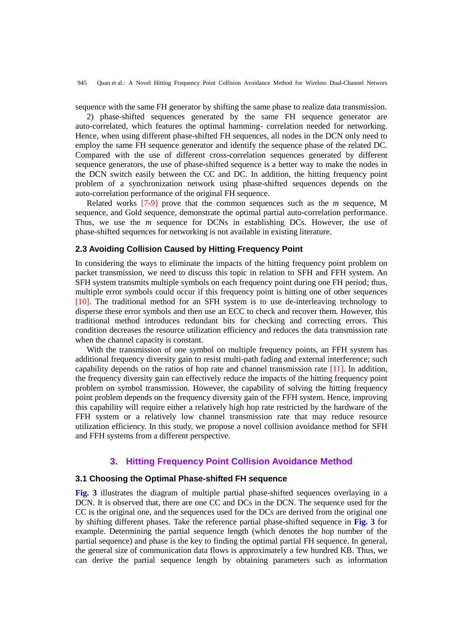sequence with the same FH generator by shifting the same phase to realize data transmission.

2) phase-shifted sequences generated by the same FH sequence generator are auto-correlated, which features the optimal hamming- correlation needed for networking. Hence, when using different phase-shifted FH sequences, all nodes in the DCN only need to employ the same FH sequence generator and identify the sequence phase of the related DC. Compared with the use of different cross-correlation sequences generated by different sequence generators, the use of phase-shifted sequence is a better way to make the nodes in the DCN switch easily between the CC and DC. In addition, the hitting frequency point problem of a synchronization network using phase-shifted sequences depends on the auto-correlation performance of the original FH sequence.

Related works [7-9] prove that the common sequences such as the *m* sequence, M sequence, and Gold sequence, demonstrate the optimal partial auto-correlation performance. Thus, we use the *m* sequence for DCNs in establishing DCs. However, the use of phase-shifted sequences for networking is not available in existing literature.

#### **2.3 Avoiding Collision Caused by Hitting Frequency Point**

In considering the ways to eliminate the impacts of the hitting frequency point problem on packet transmission, we need to discuss this topic in relation to SFH and FFH system. An SFH system transmits multiple symbols on each frequency point during one FH period; thus, multiple error symbols could occur if this frequency point is hitting one of other sequences [10]. The traditional method for an SFH system is to use de-interleaving technology to disperse these error symbols and then use an ECC to check and recover them. However, this traditional method introduces redundant bits for checking and correcting errors. This condition decreases the resource utilization efficiency and reduces the data transmission rate when the channel capacity is constant.

With the transmission of one symbol on multiple frequency points, an FFH system has additional frequency diversity gain to resist multi-path fading and external interference; such capability depends on the ratios of hop rate and channel transmission rate [11]. In addition, the frequency diversity gain can effectively reduce the impacts of the hitting frequency point problem on symbol transmission. However, the capability of solving the hitting frequency point problem depends on the frequency diversity gain of the FFH system. Hence, improving this capability will require either a relatively high hop rate restricted by the hardware of the FFH system or a relatively low channel transmission rate that may reduce resource utilization efficiency. In this study, we propose a novel collision avoidance method for SFH and FFH systems from a different perspective.

# **3. Hitting Frequency Point Collision Avoidance Method**

#### **3.1 Choosing the Optimal Phase-shifted FH sequence**

**Fig. 3** illustrates the diagram of multiple partial phase-shifted sequences overlaying in a DCN. It is observed that, there are one CC and DCs in the DCN. The sequence used for the CC is the original one, and the sequences used for the DCs are derived from the original one by shifting different phases. Take the reference partial phase-shifted sequence in **Fig. 3** for example. Determining the partial sequence length (which denotes the hop number of the partial sequence) and phase is the key to finding the optimal partial FH sequence. In general, the general size of communication data flows is approximately a few hundred KB. Thus, we can derive the partial sequence length by obtaining parameters such as information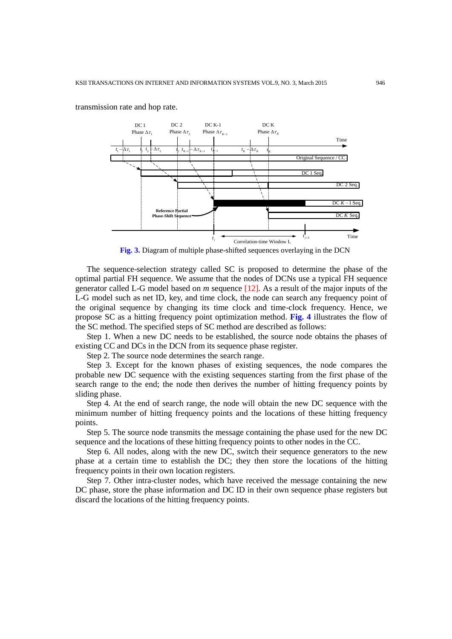

transmission rate and hop rate.

**Fig. 3.** Diagram of multiple phase-shifted sequences overlaying in the DCN

The sequence-selection strategy called SC is proposed to determine the phase of the optimal partial FH sequence. We assume that the nodes of DCNs use a typical FH sequence generator called L-G model based on *m* sequence [12]. As a result of the major inputs of the L-G model such as net ID, key, and time clock, the node can search any frequency point of the original sequence by changing its time clock and time-clock frequency. Hence, we propose SC as a hitting frequency point optimization method. **Fig. 4** illustrates the flow of the SC method. The specified steps of SC method are described as follows:

Step 1. When a new DC needs to be established, the source node obtains the phases of existing CC and DCs in the DCN from its sequence phase register.

Step 2. The source node determines the search range.

Step 3. Except for the known phases of existing sequences, the node compares the probable new DC sequence with the existing sequences starting from the first phase of the search range to the end; the node then derives the number of hitting frequency points by sliding phase.

Step 4. At the end of search range, the node will obtain the new DC sequence with the minimum number of hitting frequency points and the locations of these hitting frequency points.

Step 5. The source node transmits the message containing the phase used for the new DC sequence and the locations of these hitting frequency points to other nodes in the CC.

Step 6. All nodes, along with the new DC, switch their sequence generators to the new phase at a certain time to establish the DC; they then store the locations of the hitting frequency points in their own location registers.

Step 7. Other intra-cluster nodes, which have received the message containing the new DC phase, store the phase information and DC ID in their own sequence phase registers but discard the locations of the hitting frequency points.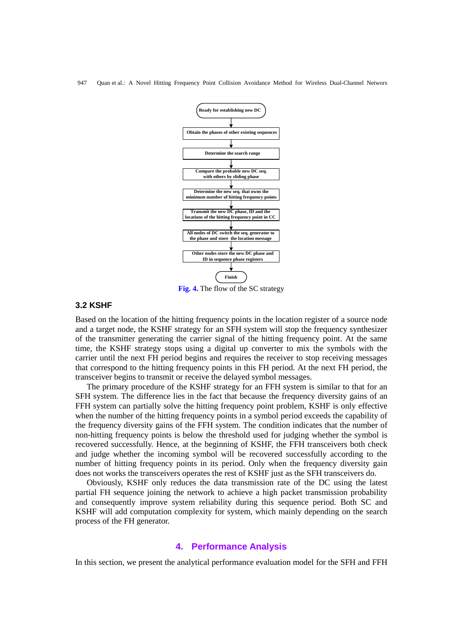

**Fig. 4.** The flow of the SC strategy

#### **3.2 KSHF**

Based on the location of the hitting frequency points in the location register of a source node and a target node, the KSHF strategy for an SFH system will stop the frequency synthesizer of the transmitter generating the carrier signal of the hitting frequency point. At the same time, the KSHF strategy stops using a digital up converter to mix the symbols with the carrier until the next FH period begins and requires the receiver to stop receiving messages that correspond to the hitting frequency points in this FH period. At the next FH period, the transceiver begins to transmit or receive the delayed symbol messages.

The primary procedure of the KSHF strategy for an FFH system is similar to that for an SFH system. The difference lies in the fact that because the frequency diversity gains of an FFH system can partially solve the hitting frequency point problem, KSHF is only effective when the number of the hitting frequency points in a symbol period exceeds the capability of the frequency diversity gains of the FFH system. The condition indicates that the number of non-hitting frequency points is below the threshold used for judging whether the symbol is recovered successfully. Hence, at the beginning of KSHF, the FFH transceivers both check and judge whether the incoming symbol will be recovered successfully according to the number of hitting frequency points in its period. Only when the frequency diversity gain does not works the transceivers operates the rest of KSHF just as the SFH transceivers do.

Obviously, KSHF only reduces the data transmission rate of the DC using the latest partial FH sequence joining the network to achieve a high packet transmission probability and consequently improve system reliability during this sequence period. Both SC and KSHF will add computation complexity for system, which mainly depending on the search process of the FH generator.

#### **4. Performance Analysis**

In this section, we present the analytical performance evaluation model for the SFH and FFH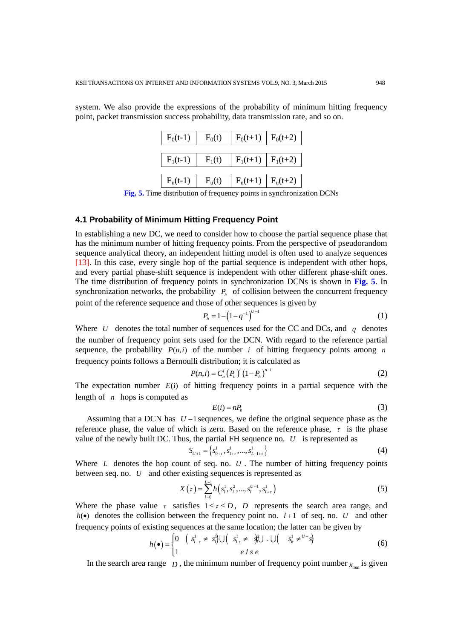system. We also provide the expressions of the probability of minimum hitting frequency point, packet transmission success probability, data transmission rate, and so on.

| $F_0(t-1)$ | $F_0(t)$           | $F_0(t+1)$               | $F_0(t+2)$ |
|------------|--------------------|--------------------------|------------|
| $F_1(t-1)$ | $F_1(t)$           | $F_1(t+1)$   $F_1(t+2)$  |            |
| $F_u(t-1)$ | F <sub>u</sub> (t) | $F_u(t+1) \mid F_u(t+2)$ |            |

**Fig. 5.** Time distribution of frequency points in synchronization DCNs

## **4.1 Probability of Minimum Hitting Frequency Point**

In establishing a new DC, we need to consider how to choose the partial sequence phase that has the minimum number of hitting frequency points. From the perspective of pseudorandom sequence analytical theory, an independent hitting model is often used to analyze sequences [13]. In this case, every single hop of the partial sequence is independent with other hops, and every partial phase-shift sequence is independent with other different phase-shift ones. The time distribution of frequency points in synchronization DCNs is shown in **Fig. 5**. In synchronization networks, the probability  $P_h$  of collision between the concurrent frequency point of the reference sequence and those of other sequences is given by

$$
P_h = 1 - \left(1 - q^{-1}\right)^{U-1} \tag{1}
$$

Where U denotes the total number of sequences used for the CC and DCs, and  $q$  denotes the number of frequency point sets used for the DCN. With regard to the reference partial sequence, the probability  $P(n,i)$  of the number *i* of hitting frequency points among *n* frequency points follows a Bernoulli distribution; it is calculated as

$$
P(n,i) = C_n^i (P_h)^i (1 - P_h)^{n-i}
$$
 (2)

The expectation number  $E(i)$  of hitting frequency points in a partial sequence with the length of *n* hops is computed as

$$
E(i) = nP_h \tag{3}
$$

Assuming that a DCN has  $U-1$  sequences, we define the original sequence phase as the reference phase, the value of which is zero. Based on the reference phase,  $\tau$  is the phase value of the newly built DC. Thus, the partial FH sequence no.  $U$  is represented as

$$
S_{U+1} = \left\{ s_{0+\tau}^1, s_{1+\tau}^1, \dots, s_{L-1+\tau}^1 \right\}
$$
 (4)

Where *L* denotes the hop count of seq. no. *U*. The number of hitting frequency points between seq. no. *U* and other existing sequences is represented as

$$
X(\tau) = \sum_{l=0}^{L-1} h(s_l^1, s_l^2, ..., s_l^{U-1}, s_{l+\tau}^1)
$$
 (5)

Where the phase value  $\tau$  satisfies  $1 \leq \tau \leq D$ , *D* represents the search area range, and  $h(\bullet)$  denotes the collision between the frequency point no.  $l+1$  of seq. no. U and other

frequency points of existing sequences at the same location; the latter can be given by\n
$$
h(\bullet) = \begin{cases} 0 & \left( s_{i+r}^1 \neq s_i^1 \right) \cup \left( s_{i+r}^1 \neq s_i^1 \right) \cup \left( s_{i+r}^1 \neq s_i^1 \right) \\ 1 & \text{if } s \in \text{if } s \in \text{if } s \in \text{if } s \in \text{if } s \in \text{if } s \in \text{if } s \in \text{if } s \in \text{if } s \in \text{if } s \in \text{if } s \in \text{if } s \in \text{if } s \in \text{if } s \in \text{if } s \in \text{if } s \in \text{if } s \in \text{if } s \in \text{if } s \in \text{if } s \in \text{if } s \in \text{if } s \in \text{if } s \in \text{if } s \in \text{if } s \in \text{if } s \in \text{if } s \in \text{if } s \in \text{if } s \in \text{if } s \in \text{if } s \in \text{if } s \in \text{if } s \in \text{if } s \in \text{if } s \in \text{if } s \in \text{if } s \in \text{if } s \in \text{if } s \in \text{if } s \in \text{if } s \in \text{if } s \in \text{if } s \in \text{if } s \in \text{if } s \in \text{if } s \in \text{if } s \in \text{if } s \in \text{if } s \in \text{if } s \in \text{if } s \in \text{if } s \in \text{if } s \in \text{if } s \in \text{if } s \in \text{if } s \in \text{if } s \in \text{if } s \in \text{if } s \in \text{if } s \in \text{if } s \in \text{if } s \in \text{if } s \in \text{if } s \in \text{if } s \in \text{if } s \in \text{if } s \in \text{if } s \in \text{if } s \in \text{if } s \in \text{if } s \in \text{if } s \in \text{if } s \in \text{if } s \in \text{if } s \in \text{if } s \in \text{if } s \in \text{if } s \in \text{if } s \in \text{if } s \in \text{if } s \in \text{if } s \in \
$$

In the search area range  $D$ , the minimum number of frequency point number  $x_{\text{min}}$  is given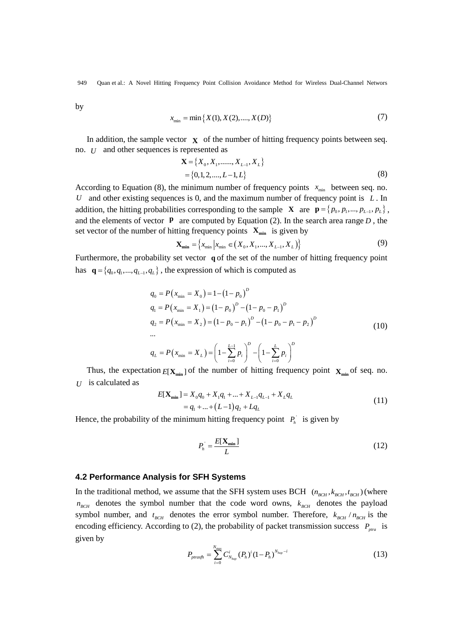by

$$
x_{\min} = \min\{X(1), X(2), \dots, X(D)\}\tag{7}
$$

In addition, the sample vector  $\mathbf{X}$  of the number of hitting frequency points between seq. no. *U* and other sequences is represented as

$$
\mathbf{X} = \{X_0, X_1, \dots, X_{L-1}, X_L\}
$$
  
= {0,1,2, ..., L-1, L} (8)

According to Equation (8), the minimum number of frequency points  $x_{min}$  between seq. no. *U* and other existing sequences is 0, and the maximum number of frequency point is *L* . In addition, the hitting probabilities corresponding to the sample **X** are  $\mathbf{p} = \{p_0, p_1, ..., p_{L-1}, p_L\}$ , and the elements of vector  $\mathbf{p}$  are computed by Equation (2). In the search area range  $D$ , the set vector of the number of hitting frequency points  $\mathbf{X}_{\text{min}}$  is given by  $\mathbf{X}_{\text{min}} = \{x_{\text{min}} | x_{\text{min}} \in (\mathbf{X}_0, X_1, ..., X_{L-1}, X_L) \}$  (9)

$$
\mathbf{X}_{\min} = \left\{ x_{\min} \middle| x_{\min} \in (X_0, X_1, \dots, X_{L-1}, X_L) \right\} \tag{9}
$$

Furthermore, the probability set vector **q** of the set of the number of hitting frequency point has  $\mathbf{q} = \{q_0, q_1, ..., q_{L-1}, q_L\}$ , the expression of which is computed as

$$
q_0 = P(x_{\min} = X_0) = 1 - (1 - p_0)^D
$$
  
\n
$$
q_1 = P(x_{\min} = X_1) = (1 - p_0)^D - (1 - p_0 - p_1)^D
$$
  
\n
$$
q_2 = P(x_{\min} = X_2) = (1 - p_0 - p_1)^D - (1 - p_0 - p_1 - p_2)^D
$$
  
\n...  
\n
$$
q_L = P(x_{\min} = X_L) = \left(1 - \sum_{i=0}^{L-1} p_i\right)^D - \left(1 - \sum_{i=0}^{L} p_i\right)^D
$$
 (10)

Thus, the expectation  $E[\mathbf{X}_{min}]$  of the number of hitting frequency point  $\mathbf{X}_{min}$  of seq. no.  $U$  is calculated as

$$
E[\mathbf{X}_{\min}] = X_0 q_0 + X_1 q_1 + ... + X_{L-1} q_{L-1} + X_L q_L
$$
  
=  $q_1 + ... + (L-1) q_2 + L q_L$  (11)

Hence, the probability of the minimum hitting frequency point  $P_h$  is given by

$$
P_h = \frac{E[\mathbf{X}_{\min}]}{L} \tag{12}
$$

#### **4.2 Performance Analysis for SFH Systems**

In the traditional method, we assume that the SFH system uses BCH  $(n_{BCH}, k_{BCH}, t_{BCH})$  (where  $n_{BCH}$  denotes the symbol number that the code word owns,  $k_{BCH}$  denotes the payload symbol number, and  $t_{BCH}$  denotes the error symbol number. Therefore,  $k_{BCH} / n_{BCH}$  is the encoding efficiency. According to (2), the probability of packet transmission success  $P_{pra}$  is given by

$$
P_{\text{prasfh}} = \sum_{i=0}^{N_{\text{max}}} C_{N_{\text{hop}}}^i (P_h)^i (1 - P_h)^{N_{\text{hop}} - i}
$$
 (13)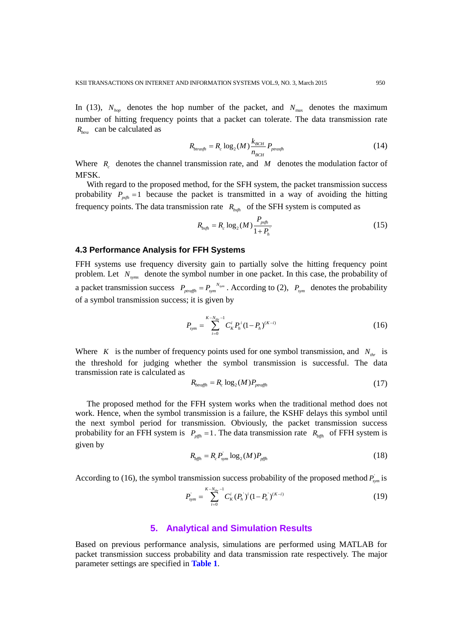In (13),  $N_{hop}$  denotes the hop number of the packet, and  $N_{max}$  denotes the maximum number of hitting frequency points that a packet can tolerate. The data transmission rate *Rbtra* can be calculated as

$$
R_{\text{brasfh}} = R_c \log_2(M) \frac{k_{\text{BCH}}}{n_{\text{BCH}}} P_{\text{prasfh}}
$$
\n(14)

Where  $R_c$  denotes the channel transmission rate, and  $M$  denotes the modulation factor of MFSK.

With regard to the proposed method, for the SFH system, the packet transmission success probability  $P_{psh} = 1$  because the packet is transmitted in a way of avoiding the hitting frequency points. The data transmission rate  $R_{b s f h}$  of the SFH system is computed as

$$
R_{bsfh} = R_c \log_2(M) \frac{P_{psfh}}{1 + P_h} \tag{15}
$$

#### **4.3 Performance Analysis for FFH Systems**

FFH systems use frequency diversity gain to partially solve the hitting frequency point problem. Let  $N_{\text{syms}}$  denote the symbol number in one packet. In this case, the probability of a packet transmission success  $P_{\text{praffh}} = P_{\text{sym}}^{N_{\text{sym}}}$ . According to (2),  $P_{\text{sym}}$  denotes the probability of a symbol transmission success; it is given by

$$
P_{sym} = \sum_{i=0}^{K - N_{thr} - 1} C_K^i P_h^i (1 - P_h)^{(K - i)} \tag{16}
$$

Where *K* is the number of frequency points used for one symbol transmission, and  $N_{thr}$  is the threshold for judging whether the symbol transmission is successful. The data transmission rate is calculated as

$$
R_{\text{btraffh}} = R_c \log_2(M) P_{\text{prraffh}} \tag{17}
$$

The proposed method for the FFH system works when the traditional method does not work. Hence, when the symbol transmission is a failure, the KSHF delays this symbol until the next symbol period for transmission. Obviously, the packet transmission success probability for an FFH system is  $P_{pffh} = 1$ . The data transmission rate  $R_{bffh}$  of FFH system is given by

$$
R_{b\bar{g}\bar{h}} = R_c P_{sym}^{\dagger} \log_2(M) P_{p\bar{g}\bar{h}} \tag{18}
$$

According to (16), the symbol transmission success probability of the proposed method  $P_{sym}$  is

$$
P_{sym}^{'} = \sum_{i=0}^{K-N_{thr}-1} C_K^i (P_h^{'})^i (1-P_h^{'})^{(K-i)}
$$
(19)

# **5. Analytical and Simulation Results**

Based on previous performance analysis, simulations are performed using MATLAB for packet transmission success probability and data transmission rate respectively. The major parameter settings are specified in **Table 1**.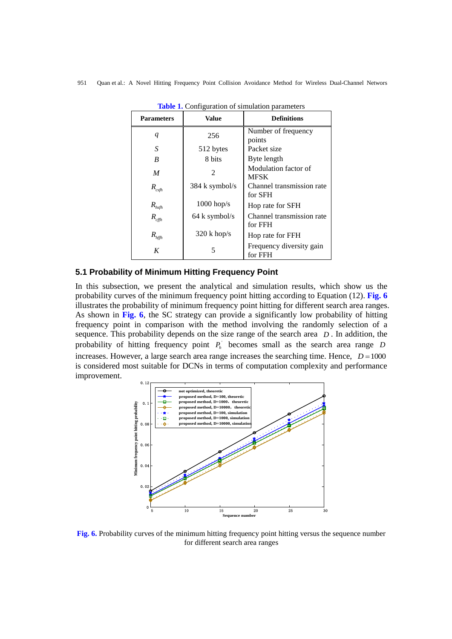| <b>Parameters</b>    | <b>Value</b>     | <b>Definitions</b>                   |
|----------------------|------------------|--------------------------------------|
| $\boldsymbol{q}$     | 256              | Number of frequency<br>points        |
| S                    | 512 bytes        | Packet size                          |
| B                    | 8 bits           | Byte length                          |
| $\boldsymbol{M}$     | 2                | Modulation factor of<br><b>MFSK</b>  |
| $R_{c s f h}$        | $384$ k symbol/s | Channel transmission rate<br>for SFH |
| $R_{hsh}$            | $1000$ hop/s     | Hop rate for SFH                     |
| $R_{c\!f\!\!f\!\!h}$ | 64 k symbol/s    | Channel transmission rate<br>for FFH |
| $R_{\text{hffh}}$    | $320$ k hop/s    | Hop rate for FFH                     |
| K                    | 5                | Frequency diversity gain<br>for FFH  |

**Table 1.** Configuration of simulation parameters

# **5.1 Probability of Minimum Hitting Frequency Point**

In this subsection, we present the analytical and simulation results, which show us the probability curves of the minimum frequency point hitting according to Equation (12). **Fig. 6** illustrates the probability of minimum frequency point hitting for different search area ranges. As shown in **Fig. 6**, the SC strategy can provide a significantly low probability of hitting frequency point in comparison with the method involving the randomly selection of a sequence. This probability depends on the size range of the search area *D* . In addition, the probability of hitting frequency point  $P_h$  becomes small as the search area range *D* increases. However, a large search area range increases the searching time. Hence,  $D = 1000$ is considered most suitable for DCNs in terms of computation complexity and performance improvement.



**Fig. 6.** Probability curves of the minimum hitting frequency point hitting versus the sequence number for different search area ranges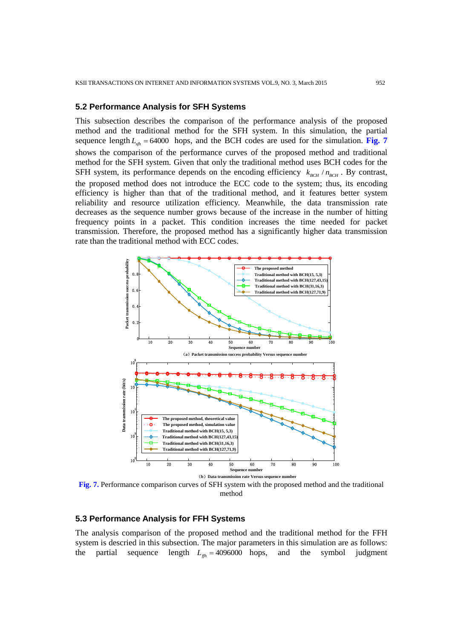#### **5.2 Performance Analysis for SFH Systems**

This subsection describes the comparison of the performance analysis of the proposed method and the traditional method for the SFH system. In this simulation, the partial sequence length  $L_{sh} = 64000$  hops, and the BCH codes are used for the simulation. **Fig. 7** shows the comparison of the performance curves of the proposed method and traditional method for the SFH system. Given that only the traditional method uses BCH codes for the SFH system, its performance depends on the encoding efficiency  $k_{BCH} / n_{BCH}$ . By contrast, the proposed method does not introduce the ECC code to the system; thus, its encoding efficiency is higher than that of the traditional method, and it features better system reliability and resource utilization efficiency. Meanwhile, the data transmission rate decreases as the sequence number grows because of the increase in the number of hitting frequency points in a packet. This condition increases the time needed for packet transmission. Therefore, the proposed method has a significantly higher data transmission rate than the traditional method with ECC codes.



**Fig. 7.** Performance comparison curves of SFH system with the proposed method and the traditional method

#### **5.3 Performance Analysis for FFH Systems**

The analysis comparison of the proposed method and the traditional method for the FFH system is descried in this subsection. The major parameters in this simulation are as follows: the partial sequence length  $L_{f\theta} = 4096000$  hops, and the symbol judgment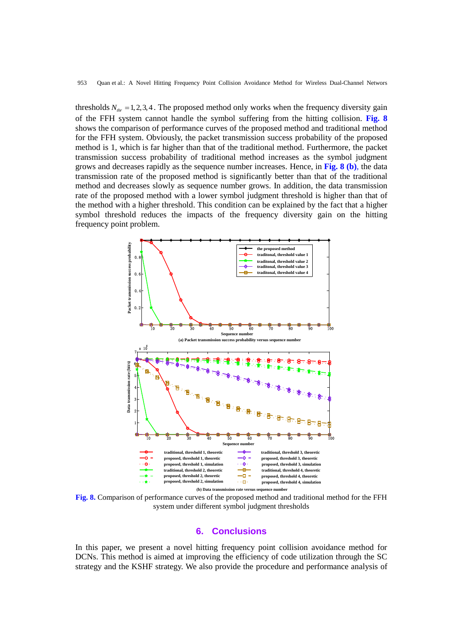thresholds  $N_{thr} = 1,2,3,4$ . The proposed method only works when the frequency diversity gain of the FFH system cannot handle the symbol suffering from the hitting collision. **Fig. 8** shows the comparison of performance curves of the proposed method and traditional method for the FFH system. Obviously, the packet transmission success probability of the proposed method is 1, which is far higher than that of the traditional method. Furthermore, the packet transmission success probability of traditional method increases as the symbol judgment grows and decreases rapidly as the sequence number increases. Hence, in **Fig. 8 (b)**, the data transmission rate of the proposed method is significantly better than that of the traditional method and decreases slowly as sequence number grows. In addition, the data transmission rate of the proposed method with a lower symbol judgment threshold is higher than that of the method with a higher threshold. This condition can be explained by the fact that a higher symbol threshold reduces the impacts of the frequency diversity gain on the hitting frequency point problem.



**Fig. 8.** Comparison of performance curves of the proposed method and traditional method for the FFH system under different symbol judgment thresholds

#### **6. Conclusions**

In this paper, we present a novel hitting frequency point collision avoidance method for DCNs. This method is aimed at improving the efficiency of code utilization through the SC strategy and the KSHF strategy. We also provide the procedure and performance analysis of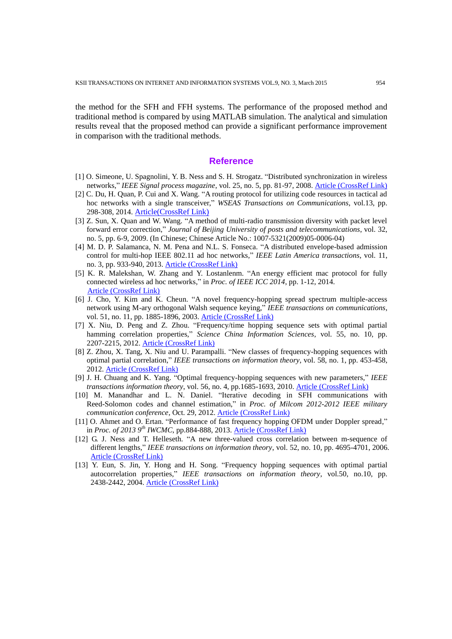the method for the SFH and FFH systems. The performance of the proposed method and traditional method is compared by using MATLAB simulation. The analytical and simulation results reveal that the proposed method can provide a significant performance improvement in comparison with the traditional methods.

# **Reference**

- [1] O. Simeone, U. Spagnolini, Y. B. Ness and S. H. Strogatz. "Distributed synchronization in wireless networks," *IEEE Signal process magazine*, vol. 25, no. 5, pp. 81-97, 2008. [Article \(CrossRef Link\)](http://dx.doi.org/10.1109/MSP.2008.926661)
- [2] C. Du, H. Quan, P. Cui and X. Wang. "A routing protocol for utilizing code resources in tactical ad hoc networks with a single transceiver," *WSEAS Transactions on Communications*, vol.13, pp. 298-308, 2014. [Article\(CrossRef Link\)](http://www.wseas.org/multimedia/journals/communications/2014/a225704-327.pdf)
- [3] Z. Sun, X. Quan and W. Wang. "A method of multi-radio transmission diversity with packet level forward error correction," *Journal of Beijing University of posts and telecommunications*, vol. 32, no. 5, pp. 6-9, 2009. (In Chinese; Chinese Article No.: 1007-5321(2009)05-0006-04)
- [4] M. D. P. Salamanca, N. M. Pena and N.L. S. Fonseca. "A distributed envelope-based admission control for multi-hop IEEE 802.11 ad hoc networks," *IEEE Latin America transactions*, vol. 11, no. 3, pp. 933-940, 2013[. Article \(CrossRef Link\)](http://dx.doi.org/10.1109/TLA.2013.6568836)
- [5] K. R. Malekshan, W. Zhang and Y. Lostanlenm. "An energy efficient mac protocol for fully connected wireless ad hoc networks," in *Proc. of IEEE ICC 2014*, pp. 1-12, 2014. [Article \(CrossRef Link\)](http://dx.doi.org/10.1109/TWC.2014.2336801)
- [6] J. Cho, Y. Kim and K. Cheun. "A novel frequency-hopping spread spectrum multiple-access network using M-ary orthogonal Walsh sequence keying," *IEEE transactions on communications*, vol. 51, no. 11, pp. 1885-1896, 2003. [Article \(CrossRef Link\)](http://dx.doi.org/10.1109/TCOMM.2003.818090)
- [7] X. Niu, D. Peng and Z. Zhou. "Frequency/time hopping sequence sets with optimal partial hamming correlation properties," *Science China Information Sciences*, vol. 55, no. 10, pp. 2207-2215, 2012[. Article \(CrossRef Link\)](http://dx.doi.org/10.1007/s11432-021-4620-9)
- [8] Z. Zhou, X. Tang, X. Niu and U. Parampalli. "New classes of frequency-hopping sequences with optimal partial correlation," *IEEE transactions on information theory*, vol. 58, no. 1, pp. 453-458, 2012. [Article \(CrossRef Link\)](http://dx.doi.org/10.1109/TIT.2011.2167126)
- [9] J. H. Chuang and K. Yang. "Optimal frequency-hopping sequences with new parameters," *IEEE transactions information theory*, vol. 56, no. 4, pp.1685-1693, 2010. [Article \(CrossRef Link\)](http://dx.doi.org/10.1109/TIT.2010.2040888)
- [10] M. Manandhar and L. N. Daniel. "Iterative decoding in SFH communications with Reed-Solomon codes and channel estimation," in *Proc. of Milcom 2012-2012 IEEE military communication conference*, Oct. 29, 2012. [Article \(CrossRef Link\)](http://dx.doi.org/10.1109/MILCOM.2012.6415739)
- [11] O. Ahmet and O. Ertan. "Performance of fast frequency hopping OFDM under Doppler spread," in *Proc. of 2013 9th IWCMC*, pp.884-888, 2013. [Article \(CrossRef Link\)](http://dx.doi.org/10.1109/IWCMC.2013.6583674)
- [12] G. J. Ness and T. Helleseth. "A new three-valued cross correlation between m-sequence of different lengths," *IEEE transactions on information theory*, vol. 52, no. 10, pp. 4695-4701, 2006. [Article \(CrossRef Link\)](http://dx.doi.org/10.1109/TIT.2006.881715)
- [13] Y. Eun, S. Jin, Y. Hong and H. Song. "Frequency hopping sequences with optimal partial autocorrelation properties," *IEEE transactions on information theory*, vol.50, no.10, pp. 2438-2442, 2004. [Article \(CrossRef Link\)](http://dx.doi.org/10.1109/TIT.2004.834792)